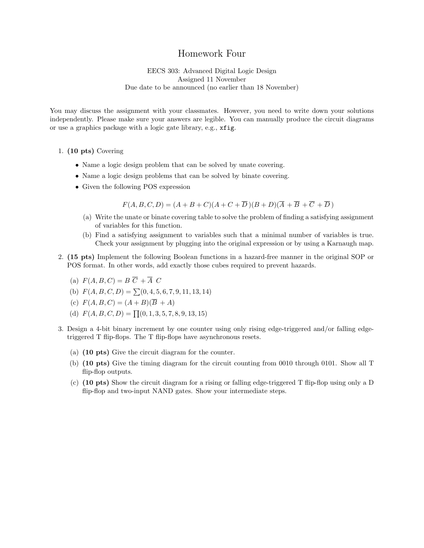## Homework Four

EECS 303: Advanced Digital Logic Design Assigned 11 November Due date to be announced (no earlier than 18 November)

You may discuss the assignment with your classmates. However, you need to write down your solutions independently. Please make sure your answers are legible. You can manually produce the circuit diagrams or use a graphics package with a logic gate library, e.g., xfig.

## 1. (10 pts) Covering

- Name a logic design problem that can be solved by unate covering.
- Name a logic design problems that can be solved by binate covering.
- Given the following POS expression

 $F(A, B, C, D) = (A + B + C)(A + C + \overline{D})(B + D)(\overline{A} + \overline{B} + \overline{C} + \overline{D})$ 

- (a) Write the unate or binate covering table to solve the problem of finding a satisfying assignment of variables for this function.
- (b) Find a satisfying assignment to variables such that a minimal number of variables is true. Check your assignment by plugging into the original expression or by using a Karnaugh map.
- 2. (15 pts) Implement the following Boolean functions in a hazard-free manner in the original SOP or POS format. In other words, add exactly those cubes required to prevent hazards.
	- (a)  $F(A, B, C) = B \overline{C} + \overline{A} C$
	- (b)  $F(A, B, C, D) = \sum (0, 4, 5, 6, 7, 9, 11, 13, 14)$
	- (c)  $F(A, B, C) = (A + B)(\overline{B} + A)$
	- (d)  $F(A, B, C, D) = \prod(0, 1, 3, 5, 7, 8, 9, 13, 15)$
- 3. Design a 4-bit binary increment by one counter using only rising edge-triggered and/or falling edgetriggered T flip-flops. The T flip-flops have asynchronous resets.
	- (a) (10 pts) Give the circuit diagram for the counter.
	- (b) (10 pts) Give the timing diagram for the circuit counting from 0010 through 0101. Show all T flip-flop outputs.
	- (c) (10 pts) Show the circuit diagram for a rising or falling edge-triggered T flip-flop using only a D flip-flop and two-input NAND gates. Show your intermediate steps.